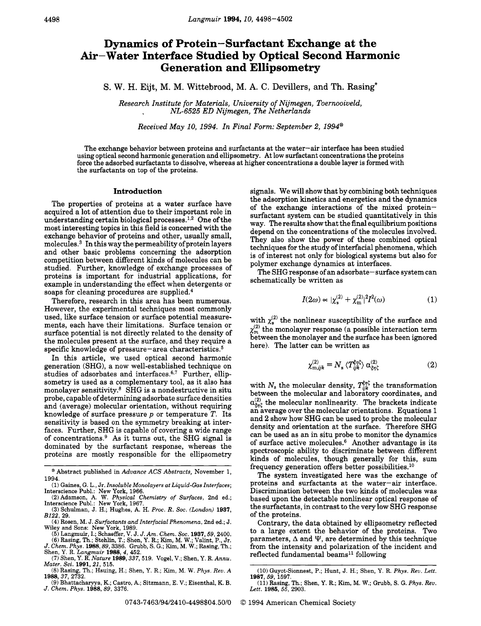## **Dynamics of Protein-Surfactant Exchange at the Air-Water Interface Studied by Optical Second Harmonic Generation and Ellipsometry**

S. W. H. Eijt, M. M. Wittebrood, M. **A.** C. Devillers, and Th. Rasing\*

Research Institute for Materials, University of Nijmegen, Toernooiveld, NL-6525 ED Nijmegen, The Netherlands

Received May 10, 1994. In Final Form: September 2, 1994@

The exchange behavior between proteins and surfactants at the water-air interface has been studied using optical second harmonic generation and ellipsometry. At low surfactant concentrations the proteins force the adsorbed surfactants to dissolve, whereas at higher concentrations a double layer is formed with the surfactants on top of the proteins.

## **Introduction**

The properties of proteins at a water surface have acquired a lot of attention due to their important role in understanding certain biological processes.<sup>1,2</sup> One of the most interesting topics in this field is concerned with the exchange behavior of proteins and other, usually small, molecules. $3$  In this way the permeability of protein layers and other basic problems concerning the adsorption competition between different kinds of molecules can be studied. Further, knowledge of exchange processes of proteins is important for industrial applications, for example in understanding the effect when detergents or soaps for cleaning procedures are supplied. $4$ 

Therefore, research in this area has been numerous. However, the experimental techniques most commonly used, like surface tension or surface potential measurements, each have their limitations. Surface tension or surface potential is not directly related to the density of the molecules present at the surface, and they require a specific knowledge of pressure-area characteristics.<sup>5</sup>

In this article, we used optical second harmonic generation (SHG), a now well-established technique on studies of adsorbates and interfaces. $6,7$  Further, ellipsometry is used as a complementary tool, as it also has monolayer sensitivity.8 SHG is a nondestructive in situ probe, capable of determining adsorbate surface densities and (average) molecular orientation, without requiring knowledge of surface pressure *p* or temperature *T.* Its sensitivity is based on the symmetry breaking at interfaces. Further, SHG is capable of covering a wide range of concentration^.^ **As** it turns out, the SHG signal is dominated by the surfactant response, whereas the proteins are mostly responsible for the ellipsometry

- **(3)** Schulman, J. **H.;** Hughes, A. H. *Proc. R. SOC. (London)* **1937,**  *B122,* **29.**
- **(4)** Rosen, **M.** J. *Surfactants and Interfacial Phenomena,* 2nd ed.; J. Wiley and Sons: New York, **1989.**
- (5) Langmuir, I.; Schaeffer, V. J. J. Am. Chem. Soc. 1937, 59, 2400.<br>
(6) Rasing, Th.; Schaeffer, V. J. J. Am. Chem. Soc. 1937, 59, 2400.<br>
J. Chem. Phys. 1988, 89, 3386. Grubb, S. G.; Kim, M. W.; Rasing, Th.;
- Shen, Y. R. *Langmuir* **1988,4, 452. (7)** Shen, Y. R. *Nature* **1989,337,519.** Vogel, V.; Shen, Y. R. *Annu. Mater. Sci.* **1991,** *21,* **515.**
- **(8)** Rasing, Th.; Hsuing, H.; Shen, Y. R.; Kim, M. W. *Phys. Rev. A*  **1988,37,2732.**
- **(9)** Bhattacharyya, **K.;** Castro, A.; Sitzmann, E. V.; Eisenthal, K. B. *J. Chem. Phys.* **1988,89, 3376.**

signals. We will show that by combining both techniques the adsorption kinetics and energetics and the dynamics of the exchange interactions of the mixed proteinsurfactant system can be studied quantitatively in this way. The results show that the final equilibrium positions depend on the concentrations of the molecules involved. They also show the power of these combined optical techniques for the study of interfacial phenomena, which is of interest not only for biological systems but also for polymer exchange dynamics at interfaces.

The SHG response of an adsorbate-surface system can schematically be written as

$$
I(2\omega) \propto |\chi_{\rm s}^{(2)} + \chi_{\rm m}^{(2)}|^2 I^2(\omega) \tag{1}
$$

with  $\chi_s^{(2)}$  the nonlinear susceptibility of the surface and  $\chi_{\rm m}^{(2)}$  the monolayer response (a possible interaction term between the monolayer and the surface has been ignored here). The latter can be written as

$$
\chi_{\mathbf{m},ijk}^{(2)} = N_s \langle T_{ijk}^{\xi\eta\xi} \rangle \alpha_{\xi\eta\xi}^{(2)} \tag{2}
$$

with  $N_s$  the molecular density,  $T_{ijk}^{\xi \eta \zeta}$  the transformation between the molecular and laboratory coordinates, and  $\alpha_{\xi_{n\zeta}}^{(2)}$  the molecular nonlinearity. The brackets indicate and average over the molecular orientations. Equations 1 and **2** show how SHG can be used to probe the molecular density and orientation at the surface. Therefore SHG can be used as an in situ probe to monitor the dynamics of surface active molecules.6 Another advantage is its spectroscopic ability to discriminate between different kinds of molecules, though generally for this, sum frequency generation offers better possibilities. $10$ 

The system investigated here was the exchange of proteins and surfactants at the water-air interface. Discrimination between the two kinds of molecules was based upon the detectable nonlinear optical response of the surfactants, in contrast to the very low SHG response of the proteins.

Contrary, the data obtained by ellipsometry reflected to a large extent the behavior of the proteins. Two parameters,  $\Delta$  and  $\Psi$ , are determined by this technique from the intensity and polarization of the incident and reflected fundamental beams<sup>11</sup> following

<sup>@</sup> Abstract published in *Advance ACS Abstracts,* November 1,

<sup>1994.&</sup>lt;br>
(1) Gaines, G. L., Jr. *Insoluble Monolayers at Liquid-Gas Interfaces*;<br>Interscience Publ.: New York, 1966.<br>
(2) Adamson, A. W. *Physical Chemistry of Surfaces*, 2nd ed.;<br>Interscience Publ.: New York, 1967.

**<sup>(10)</sup>** Guyot-Sionnest, P.; Hunt, J. H.; Shen, Y. R. *Phys. Rev. Lett.*  **(11)** Rasing, Th.; Shen, Y. R.; Kim, M. W.; Grubb, *S.* G. *Phys. Rev.*  **1987, 59, 1597.** 

*Lett.* **1986, 55, 2903.**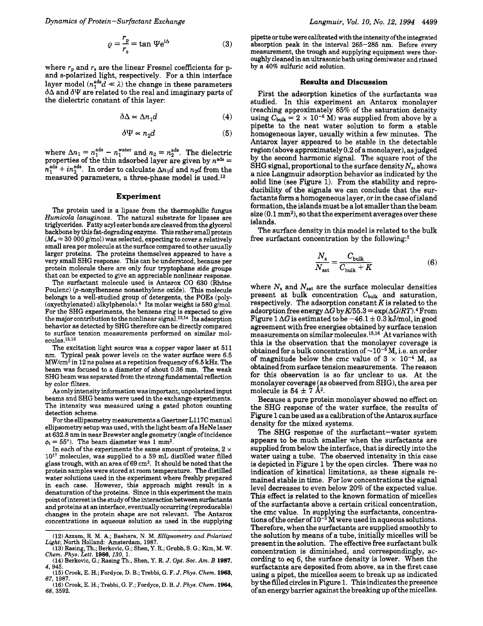$$
\varrho = \frac{r_{\rm p}}{r_{\rm s}} = \tan \Psi e^{\mathrm{i}\Delta} \tag{3}
$$

where  $r_p$  and  $r_s$  are the linear Fresnel coefficients for pand s-polarized light, respectively. For a thin interface layer model  $(n_1^{\text{ads}}d \ll \lambda)$  the change in these parameters  $\delta\Delta$  and  $\delta\Psi$  are related to the real and imaginary parts of the dielectric constant of this layer:

$$
\delta \Delta \propto \Delta n_1 d \tag{4}
$$

$$
\delta \Psi \propto n_2 d \tag{5}
$$

where  $\Delta n_1 = n_1^{\text{ads}} - n_1^{\text{water}}$  and  $n_2 = n_2^{\text{ads}}$ . The dielectric properties of the thin adsorbed layer are given by  $n<sup>ads</sup> =$  $n_1^{\text{ads}} + i n_2^{\text{ads}}$ . In order to calculate  $\Delta n_1 d$  and  $n_2 d$  from the measured parameters, a three-phase model is used.12

## **Experiment**

The protein used is a lipase from the thermophilic fungus Humicola lanuginosa. The natural substrate for lipases are *diagreerides.* Fatty acyl ester bonds are cleaved from the glycerol backbone by this fat-degrading enzyme. **This** rather small protein  $(M_w \approx 30\,000\,\mathrm{g/mol})$  was selected, expecting to cover a relatively small area per molecule at the surface compared to other usually larger proteins. The proteins themselves appeared to have a very small SHG response. This can be understood, because per protein molecule there are only four tryptophane side groups that can be expected to give an appreciable nonlinear response.

The surfactant molecule used is Antarox CO 630 (Rhône Poulenc) (p-nonylbenzene nonaethylene oxide). This molecule belongs to a well-studied group of detergents, the POEs (poly- (oxyethylenated) alkylphenols). $4$  Its molar weight is 580 g/mol. For the SHG experiments, the benzene ring is expected to give the major contribution to the nonlinear signal.<sup>13,14</sup> Its adsorption behavior as detected by **SHG** therefore can be directly compared to surface tension measurements performed on similar mol $ecules.<sup>15,16</sup>$ 

The excitation light source was a copper vapor laser at **511**  nm. Typical peak power levels on the water surface were **6.5**  MW/cm2 in **12** ns pulses at a repetition frequency **of 6.5 kHz.** The beam was focused to a diameter of about **0.36** mm. The weak SHG beam was separated from the strong fundamental reflection by color filters.

*As* only intensity information was important, unpolarized input beams and **SHG** beams were used in the exchange experiments. The intensity was measured using a gated photon counting detection scheme.

For the ellipsometry measurements a Gaertner **L117C** manual ellipsometry setup was used, with the light beam of a HeNe laser at **632.8** nm in near Brewster angle geometry (angle of incidence  $\phi_i = 55^{\circ}$ . The beam diameter was 1 mm<sup>2</sup>.

In each of the experiments the same amount of proteins,  $2 \times$ lo1? molecules, was supplied to a **59** mL distilled water filled glass trough, with an area of **69** cm2. It should be noted that the protein samples were stored at room temperature. The distilled water solutions used in the experiment where freshly prepared in each case. However, this approach might result in a denaturation of the proteins. Since in this experiment the main point of interest is the study of the interaction between surfactants and proteins at an interface, eventually occurring (reproducable) changes in the protein shape are not relevant. The Antarox concentrations in aqueous solution as used in the supplying

pipette or tube were calibrated with the intensity ofthe integrated absorption peak in the interval **265-285** nm. Before every measurement, the trough and supplying equipment were thoroughly cleaned in **an** ultrasonic bath using demiwater and rinsed by a 40% sulfuric acid solution.

## **Results and Discussion**

First the adsorption kinetics of the surfactants was studied. In this experiment an Antarox monolayer (reaching approximately **85%** of the saturation density using  $C_{\text{bulk}} = 2 \times 10^{-6}$  M) was supplied from above by a pipette to the neat water solution to form a stable homogeneous layer, usually within a few minutes. The Antarox layer appeared to be stable in the detectable region (above approximately 0.2 of a monolayer), as judged by the second harmonic signal. The square root of the SHG signal, proportional to the surface density  $N_s$ , shows a nice Langmuir adsorption behavior as indicated by the solid line (see Figure 1). From the stability and reproducibility of the signals we can conclude that the surfactants form a homogeneous layer, or in the case of island formation, the islands must be a lot smaller than the beam size  $(0.1 \text{ mm}^2)$ , so that the experiment averages over these islands.

The surface density in this model is related to the bulk free surfactant concentration by the following: $5$ 

$$
\frac{N_{\rm s}}{N_{\rm sat}} = \frac{C_{\rm bulk}}{C_{\rm bulk} + K} \tag{6}
$$

where  $N_s$  and  $N_{sat}$  are the surface molecular densities present at bulk concentration  $C_{\text{bulk}}$  and saturation, respectively. The adsorption constant *K* is related to the adsorption free energy  $\Delta G$  by  $K/55.3 = \exp(\Delta G/RT)$ .<sup>4</sup> From Figure 1  $\Delta G$  is estimated to be  $-46.1 \pm 0.3$  kJ/mol, in good agreement with free energies obtained by surface tension measurements on similar molecules.<sup>15,16</sup> At variance with this is the observation that the monolayer coverage is obtained for a bulk concentration of  $\sim 10^{-5}$  M, i.e. an order of magnitude below the cmc value of  $3 \times 10^{-4}$  M, as obtained from surface tension measurements. The reason for this observation is so far unclear to us. At the monolayer coverage (as observed from SHG), the area per molecule is  $54 \pm 7 \text{ Å}^2$ .

Because a pure protein monolayer showed no effect on the SHG response of the water surface, the results of Figure 1 can be used as a calibration of the Antarox surface density for the mixed systems.

The SHG response of the surfactant-water system appears to be much smaller when the surfactants are supplied from below the interface, that is directly into the water using a tube. The observed intensity in this case is depicted in Figure 1 by the open circles. There was no indication of kinetical limitations, as these signals remained stable in time. For low concentrations the signal level decreases to even below 20% of the expected value. This effect is related to the **known** formation of micelles of the surfactants above a certain critical concentration, the cmc value. In supplying the surfactants, concentrations of the order of  $10^{-3}$  M were used in aqueous solutions. Therefore, when the surfactants are supplied smoothly to the solution by means of a tube, initially micelles will be present in the solution. The effective free surfactant bulk concentration is diminished, and correspondingly, according to eq 6, the surface density is lower. When the surfactants are deposited from above, as in the first case using a pipet, the micelles seem to break up as indicated by the filled circles in Figure 1. This indicates the presence of an energy barrier against the breaking up of the micelles.

**<sup>(12)</sup>** Azzam, **R. M. A,;** Bashara, **N.** M. *Ellipsometry and Polarized Light;* North Holland: Amsterdam, **1987.** 

**<sup>(13)</sup>** Rasing, **Th.;** Berkovic, *G.;* Shen, **Y.** R.; Grubb, S. *G.;* Kim, M. W. *Chem. Phys. Lett. 1986,130,* **1.** 

**<sup>(14)</sup>** Berkovic, **G.;** Rasing Th., Shen, **Y.** R. *J. Opt. SOC. Am. B 1987, 4,* **945.** 

**<sup>(15)</sup>** Crook, E. H.; Fordyce, D. B.; Trebbi, *G.* F. *J. Phys. Chem. 1963, 67.* - . , **1987.** - - - . . **(16)** Crook, E. H.; Trebbi, *G.* F.; Fordyce, D. B. *J. Phys. Chem. 1964,* 

**<sup>68, 3592.</sup>**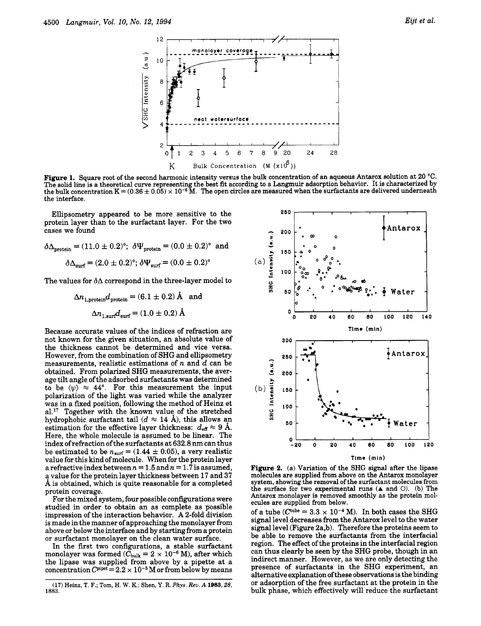

**Figure 1.** Square root of the second harmonic intensity versus the bulk concentration of an aqueous Antarox solution at **20** "C. The solid line is a theoretical curve representing the best fit according to a Langmuir adsorption behavior. It is characterized by the bulk concentration  $K = (0.36 \pm 0.05) \times 10^{-6}$  M. The open circles are measured when th the interface.

Ellipsometry appeared to be more sensitive to the protein layer than to the surfactant layer. For the two cases we found

$$
\delta \Delta_{\text{protein}} = (11.0 \pm 0.2)^{\circ}; \ \delta \Psi_{\text{protein}} = (0.0 \pm 0.2)^{\circ} \ \text{and}
$$

$$
\delta \Delta_{\text{surf}} = (2.0 \pm 0.2)^{\circ}; \ \delta \Psi_{\text{surf}} = (0.0 \pm 0.2)^{\circ}
$$

The values for  $\delta\Delta$  correspond in the three-layer model to

$$
\Delta n_{1,\text{protein}}d_{\text{protein}} = (6.1 \pm 0.2) \,\text{\AA} \quad \text{and}
$$
\n
$$
\Delta n_{1,\text{surf}}d_{\text{surf}} = (1.0 \pm 0.2) \,\text{\AA}
$$

Because accurate values of the indices of refraction are not known for the given situation, an absolute value of the thickness cannot be determined and vice versa. However, from the combination of SHG and ellipsometry measurements, realistic estimations of *n* and d can be obtained. From polarized SHG measurements, the average tilt angle of the adsorbed surfactants was determined to be  $\langle \psi \rangle \approx 44^{\circ}$ . For this measurement the input polarization of the light was varied while the analyzer was in a fixed position, following the method of Heinz et al.<sup>17</sup> Together with the known value of the stretched hydrophobic surfactant tail  $(d \approx 14 \text{ Å})$ , this allows an estimation for the effective layer thickness:  $d_{\text{eff}} \approx 9$  Å. Here, the whole molecule is assumed to be linear. The index ofrefraction ofthe surfactants at 632.8 nm can thus be estimated to be  $n_{\text{surf}} = (1.44 \pm 0.05)$ , a very realistic value for this kind of molecule. When for the protein layer a refractive index between  $n = 1.5$  and  $n = 1.7$  is assumed, a value for the protein layer thickness between **17** and **37**  A is obtained, which is quite reasonable for a completed protein coverage.

For the mixed system, four possible configurations were studied in order to obtain an as complete as possible impression of the interaction behavior. **A** 2-fold division is made in the manner of approaching the monolayer from above or below the interface and by starting from a protein or surfactant monolayer on the clean water surface.

In the first two configurations, a stable surfactant monolayer was formed  $(\bar{C}_{\text{bulk}} = 2 \times 10^{-6} \text{ M})$ , after which the lipase was supplied from above by a pipette at a concentration  $C^{pipe} = 2.2 \times 10^{-5}$  M or from below by means



**Figure 2.** (a) Variation of the **SHG** signal after the lipase molecules are supplied from above on the Antarox monolayer system, showing the removal of the surfactant molecules from the surface for two experimental **runs (A** and *0).* (b) The Antarox monolayer is removed smoothly as the protein molecules are supplied from below.

of a tube  $(C^{\text{tube}} = 3.3 \times 10^{-4} \text{ M})$ . In both cases the SHG signal level decreases from the Antarox level to the water signal level (Figure 2a,b). Therefore the proteins seem to be able to remove the surfactants from the interfacial region. The effect of the proteins in the interfacial region can thus clearly be seen by the SHG probe, though in an indirect manner. However, as we are only detecting the presence of surfactants in the SHG experiment, an alternative explanation ofthese observations is the binding or adsorption of the free surfactant at the protein in the bulk phase, which effectively will reduce the surfactant

**<sup>(17)</sup> Heinz, T. F.;** Tom, **H.** W. **K.;** Shen, **Y. R.** *Phys. Rev.* **A 1983,28, 1883.**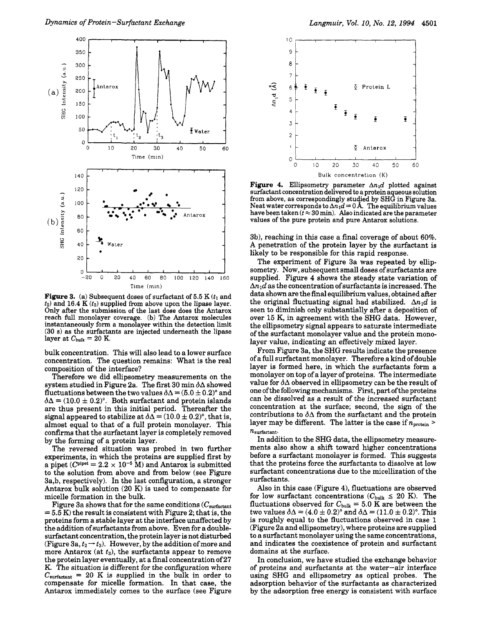

**Figure 3.** (a) Subsequent doses of surfactant of  $5.5$  K $(t_1)$  and *t2)* and **16.4** K *(t3)* supplied from above upon the lipase layer. Only after the submission of the last dose does the Antarox reach full monolayer coverage. (b) The Antarox molecules instantaneously form a monolayer within the detection limit (30 s) as the surfactants are injected underneath the lipase layer at  $C_{\text{bulk}} = 20 \text{ K}$ .

bulk concentration. This will also lead to a lower surface concentration. The question remains: What is the real composition of the interface?

Therefore we did ellipsometry measurements on the system studied in Figure 2a. The first 30 min *dA* showed fluctuations between the two values  $\delta \Delta = (5.0 \pm 0.2)^{\circ}$  and  $\delta\Delta = (10.0 \pm 0.2)$ °. Both surfactant and protein islands are thus present in this initial period. Thereafter the signal appeared to stabilize at  $\delta\Delta = (10.0 \pm 0.2)$ <sup>o</sup>, that is, almost equal to that of a full protein monolayer. This confirms that the surfactant layer is completely removed by the forming of a protein layer.

The reversed situation was probed in two further experiments, in which the proteins are supplied first by a pipet  $(C^{pipet} = 2.2 \times 10^{-5} \text{ M})$  and Antarox is submitted to the solution from above and from below (see Figure 3a,b, respectively). In the last configuration, a stronger Antarox bulk solution (20 K) is used to compensate for micelle formation in the bulk.

Figure 3a shows that for the same conditions  $(C_{\text{surface}} = 5.5 \text{ K})$  the result is consistent with Figure 2; that is, the proteins form a stable layer at the interface unaffected by the addition of surfactants from above. Even for a doublethe addition of surfactants from above. Even for a double-<br>surfactant concentration, the protein layer is not disturbed<br>(Figure 3a,  $t_2 \rightarrow t_3$ ). However, by the addition of more and more Antarox (at  $t_3$ ), the surfactants appear to remove the protein layer eventually, at a final concentration of 27 K. The situation is different for the configuration where  $C_{\text{surface}} = 20$  K is supplied in the bulk in order to compensate for micelle formation. In that case, the Antarox immediately comes to the surface (see Figure



**Figure 4.** Ellipsometry parameter  $\Delta n_1d$  plotted against<br>surfactant concentration delivered to a protein aqueous solution<br>from above, as correspondingly studied by SHG in Figure 3a.<br>Neat water corresponds to  $\Delta n_1d = 0$ values of the pure protein and pure Antarox solutions.

3b), reaching in this case a final coverage of about **60%. A** penetration of the protein layer by the surfactant is likely to be responsible for this rapid response.

The experiment of Figure 3a was repeated by ellipsometry. Now, subsequent small doses of surfactants are supplied. Figure **4** shows the steady state variation of  $\Delta n_1 d$  as the concentration of surfactants is increased. The data shown are the final equilibrium values, obtained after the original fluctuating signal had stabilized.  $\Delta n_1 d$  is seen to diminish only substantially after a deposition of over 15 K, in agreement with the SHG data. However, the ellipsometry signal appears to saturate intermediate of the surfactant monolayer value and the protein monolayer value, indicating an effectively mixed layer.

From Figure 3a, the SHG results indicate the presence of a full surfactant monolayer. Therefore a kind of double layer is formed here, in which the surfactants form a monolayer on top of a layer of proteins. The intermediate value for **dA** observed in ellipsometry can be the result of one of the following mechanisms. First, part of the proteins can be dissolved as a result of the increased surfactant concentration at the surface; second, the sign of the contributions to  $\delta\Delta$  from the surfactant and the protein layer may be different. The latter is the case if  $n_{\text{protein}} >$ *nsurfadant.* 

In addition to the SHG data, the ellipsometry measurements also show a shift toward higher concentrations before a surfactant monolayer is formed. This suggests that the proteins force the surfactants to dissolve at low surfactant concentrations due to the micellization of the surfactants.

Also in this case (Figure **4),** fluctuations are observed surfactants.<br>Also in this case (Figure 4), fluctuations are observed<br>for low surfactant concentrations ( $C_{bulk} \leq 20$  K). The<br>fluctuations observed for  $C_{\text{max}} = 5.0$  K are between the for low surfactant concentrations  $(C_{\text{bulk}} \leq 20 \text{ K})$ . The fluctuations observed for  $C_{\text{bulk}} = 5.0 \text{ K}$  are between the two values  $\delta \Delta = (4.0 \pm 0.2)$ <sup>o</sup> and  $\delta \Delta = (11.0 \pm 0.2)$ <sup>o</sup>. This is roughly equal to the fluctuations observed in case 1 (Figure 2a and ellipsometry), where proteins are supplied to a surfactant monolayer using the same concentrations, and indicates the coexistence of protein and surfactant domains at the surface.

In conclusion, we have studied the exchange behavior of proteins and surfactants at the water-air interface using SHG and ellipsometry as optical probes. The adsorption behavior of the surfactants as characterized by the adsorption free energy is consistent with surface